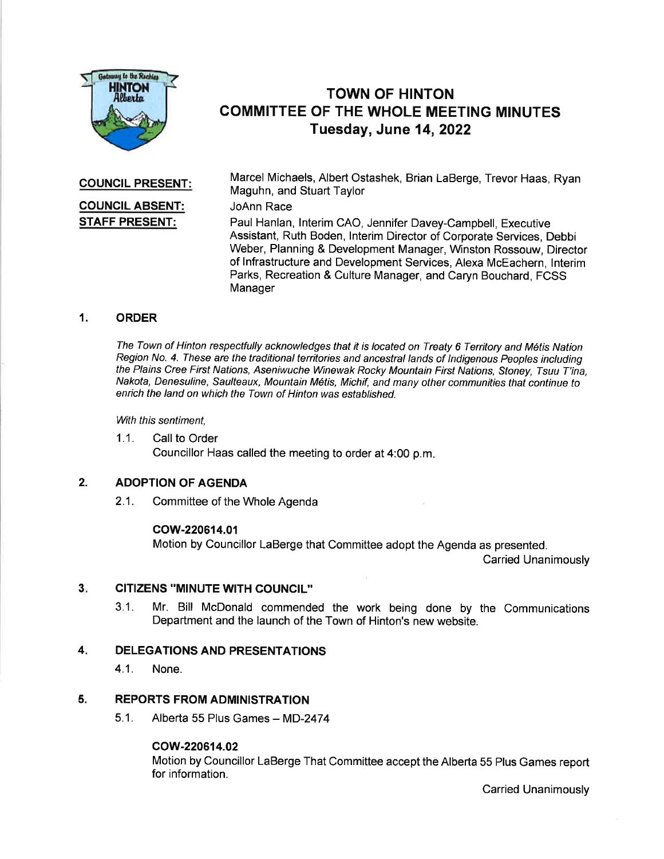

# TOWN OF HINTON COMMITTEE OF THE WHOLE MEETING MINUTES Tuesday, June 14,2022

COUNCIL PRESENT:

## COUNCIL ABSENT: STAFF PRESENT:

Marcel Michaels, Albert Ostashek, Brian LaBerge, Trevor Haas, Ryan Maguhn, and Stuart Taylor

### JoAnn Race

Paul Hanlan, lnterim CAO, Jennifer Davey-Campbell, Executive Assistant, Ruth Boden, lnterim Director of Corporate Services, Debbi Weber, Planning & Development Manager, Winston Rossouw, Director of lnfrastructure and Development Services, Alexa McEachern, lnterim Parks, Recreation & Culture Manager, and Caryn Bouchard, FCSS Manager

### 1. ORDER

The Town of Hinton respectfully acknowledges that it is located on Treaty 6 Territory and Métis Nation Region No. 4. These are the traditional territories and ancestral lands of Indigenous Peoples including the Plains Cree First Nations, Aseniwuche Winewak Rocky Mountain First Nations, Stoney, Tsuu T'ina, Nakota, Denesuline, Saulteaux, Mountain M6tis, Michif, and many other communities that continue to enrich the land on which the Town of Hinton was established.

With this sentiment.

1.1. Call to Order Councillor Haas called the meeting to order at 4:00 p.m

#### 2. ADOPTION OF AGENDA

2.1. Committee of the Whole Agenda

### cow-220614.01

Motion by Councillor LaBerge that Committee adopt the Agenda as presented.

Carried Unanimously

#### CITIZENS ''MINUTE WITH COUNCIL" 3

3.1. Mr. Bill McDonald commended the work being done by the Communications Department and the launch of the Town of Hinton's new website.

#### DELEGATIONS AND PRESENTATIONS 4

4.1. None.

#### REPORTS FROM ADMINISTRATION 5.

 $5.1.$  Alberta 55 Plus Games - MD-2474

### cow-220614.02

Motion by Councillor LaBerge That Committee accept the Alberta 55 Plus Games report for information.

Carried Unanimously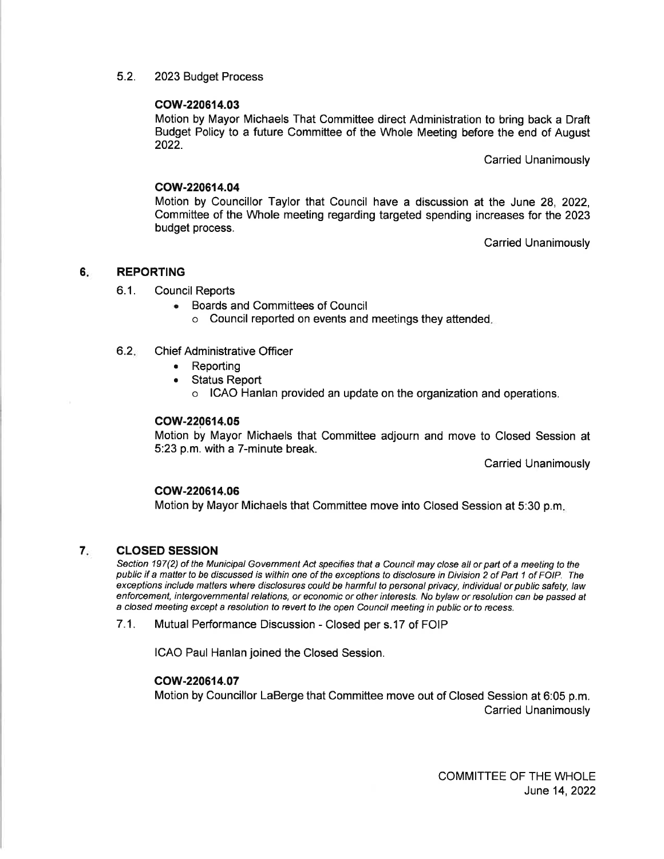5.2. 2023 Budget Process

### cow-220614.03

Motion by Mayor Michaels That Committee direct Administration to bring back a Draft Budget Policy to a future Committee of the Whole Meeting before the end of August 2022.

Carried Unanimously

#### cow-220614.04

Motion by Councillor Taylor that Council have a discussion at the June 28, 2022, Committee of the Whole meeting regarding targeted spending increases for the 2023 budget process.

Carried Unanimously

#### 6 REPORTING

- 6.1. Council Reports
	- . Boards and Committees of Council o Council reported on events and meetings they attended
- 6.2. Chief Administrative Officer
	- . Reporting
	- . Status Report
		- o ICAO Hanlan provided an update on the organization and operations.

#### cow-220614.05

Motion by Mayor Michaels that Committee adjourn and move to Closed Session at 5:23 p.m. with a 7-minute break.

Carried Unanimously

#### cow-220614.06

Motion by Mayor Michaels that Committee move into Closed Session at 5:30 p.m

#### CLOSED SESSION 7

Section 197(2) of the Municipal Government Act specifies that a Council may close all or part of a meeting to the public if a matter to be discussed is within one of the exceptions to disclosure in Division 2 of Part 1 of FOIP. The exceptions include matters where disclosures could be harmful to personal privacy, individual or public safety, law enforcement, intergovernmental relations, or economic or other interesfs. No bylaw or resolution can be passed af a closed meeting except a resolution to revert to the open Council meeting in public or to recess.

<sup>7</sup>.1 . Mutual Performance Discussion - Closed per s.17 of FOIP

ICAO Paul Hanlan joined the Closed Session.

#### cow-220614.07

Motion by Councillor LaBerge that Committee move out of Closed Session at 6:05 p.m. Carried Unanimously

> COMMITTEE OF THE WHOLE June 14,2022